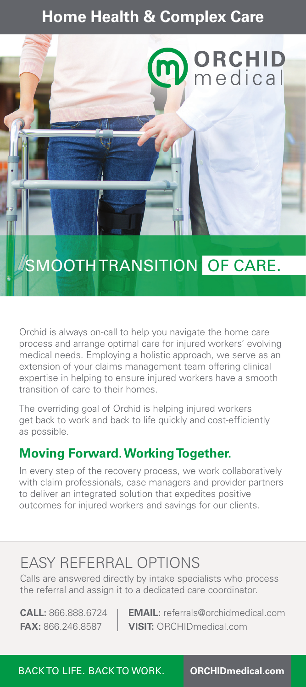## **Home Health & Complex Care**



Orchid is always on-call to help you navigate the home care process and arrange optimal care for injured workers' evolving medical needs. Employing a holistic approach, we serve as an extension of your claims management team offering clinical expertise in helping to ensure injured workers have a smooth transition of care to their homes.

The overriding goal of Orchid is helping injured workers get back to work and back to life quickly and cost-efficiently as possible.

## **Moving Forward. Working Together.**

In every step of the recovery process, we work collaboratively with claim professionals, case managers and provider partners to deliver an integrated solution that expedites positive outcomes for injured workers and savings for our clients.

# EASY REFERRAL OPTIONS

Calls are answered directly by intake specialists who process the referral and assign it to a dedicated care coordinator.

**CALL:** 866.888.6724 **EMAIL:** referrals@orchidmedical.com **FAX:** 866.246.8587 **VISIT:** ORCHIDmedical.com

BACK TO LIFE. BACK TO WORK. **ORCHIDmedical.com**